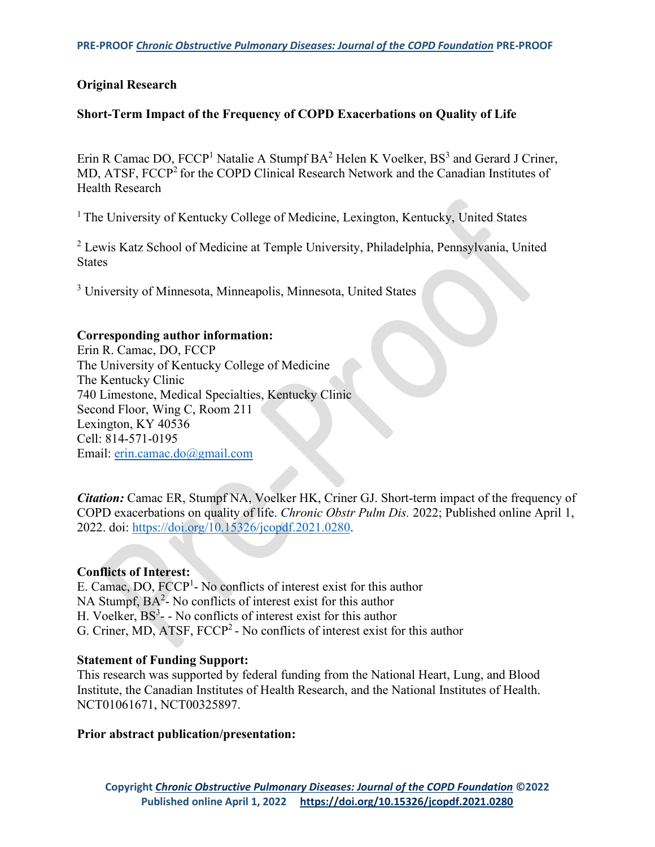### **Original Research**

### **Short-Term Impact of the Frequency of COPD Exacerbations on Quality of Life**

Erin R Camac DO,  $FCCP<sup>1</sup>$  Natalie A Stumpf  $BA<sup>2</sup>$  Helen K Voelker,  $BS<sup>3</sup>$  and Gerard J Criner, MD, ATSF, FCCP<sup>2</sup> for the COPD Clinical Research Network and the Canadian Institutes of Health Research

<sup>1</sup> The University of Kentucky College of Medicine, Lexington, Kentucky, United States

<sup>2</sup> Lewis Katz School of Medicine at Temple University, Philadelphia, Pennsylvania, United **States** 

<sup>3</sup> University of Minnesota, Minneapolis, Minnesota, United States

#### **Corresponding author information:**

Erin R. Camac, DO, FCCP The University of Kentucky College of Medicine The Kentucky Clinic 740 Limestone, Medical Specialties, Kentucky Clinic Second Floor, Wing C, Room 211 Lexington, KY 40536 Cell: 814-571-0195 Email: [erin.camac.do@gmail.com](mailto:erin.camac.do@gmail.com)

*Citation:* Camac ER, Stumpf NA, Voelker HK, Criner GJ. Short-term impact of the frequency of COPD exacerbations on quality of life. *Chronic Obstr Pulm Dis.* 2022; Published online April 1, 2022. doi: [https://doi.org/10.15326/jcopdf.2021.0280.](https://doi.org/10.15326/jcopdf.2021.0280)

#### **Conflicts of Interest:**

E. Camac, DO, FCCP<sup>1</sup>- No conflicts of interest exist for this author NA Stumpf,  $BA^2$ - No conflicts of interest exist for this author H. Voelker,  $BS^3$ - - No conflicts of interest exist for this author G. Criner, MD, ATSF,  $FCCP<sup>2</sup>$  - No conflicts of interest exist for this author

#### **Statement of Funding Support:**

This research was supported by federal funding from the National Heart, Lung, and Blood Institute, the Canadian Institutes of Health Research, and the National Institutes of Health. NCT01061671, NCT00325897.

#### **Prior abstract publication/presentation:**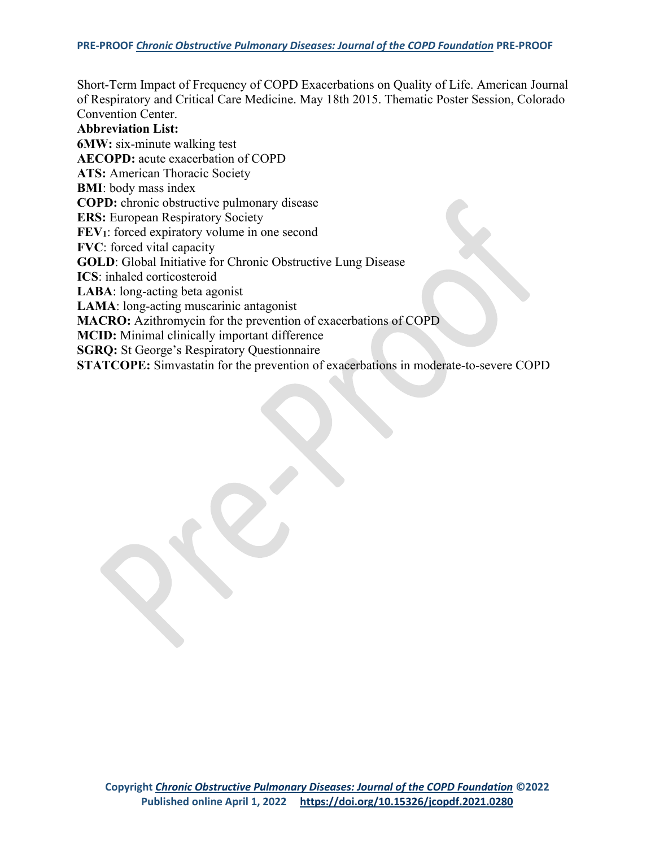Short-Term Impact of Frequency of COPD Exacerbations on Quality of Life. American Journal of Respiratory and Critical Care Medicine. May 18th 2015. Thematic Poster Session, Colorado Convention Center.

**Abbreviation List: 6MW:** six-minute walking test **AECOPD:** acute exacerbation of COPD **ATS:** American Thoracic Society **BMI**: body mass index **COPD:** chronic obstructive pulmonary disease **ERS:** European Respiratory Society **FEV**<sub>1</sub>: forced expiratory volume in one second **FVC**: forced vital capacity **GOLD**: Global Initiative for Chronic Obstructive Lung Disease **ICS**: inhaled corticosteroid **LABA**: long-acting beta agonist **LAMA**: long-acting muscarinic antagonist **MACRO:** Azithromycin for the prevention of exacerbations of COPD **MCID:** Minimal clinically important difference **SGRQ:** St George's Respiratory Questionnaire **STATCOPE:** Simvastatin for the prevention of exacerbations in moderate-to-severe COPD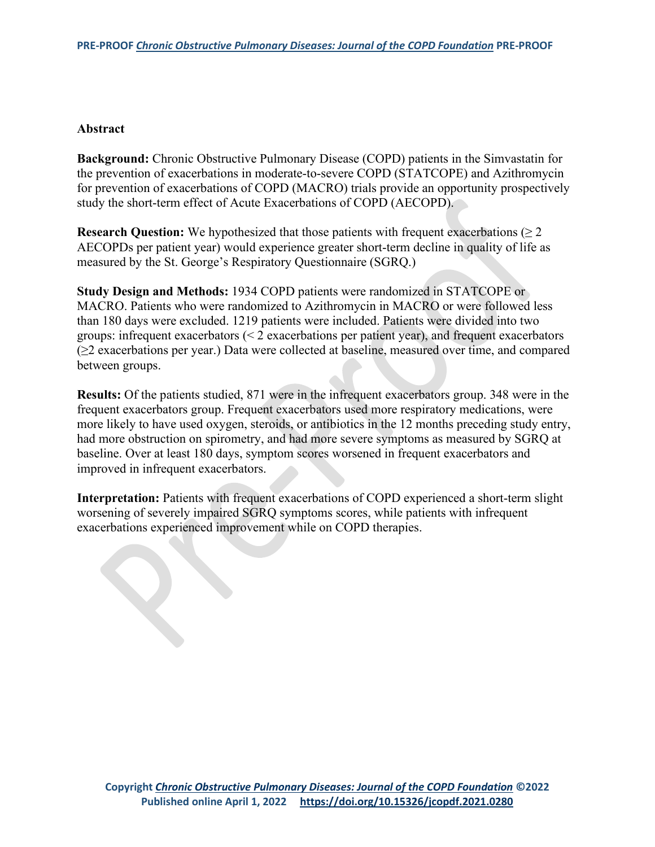#### **Abstract**

R

**Background:** Chronic Obstructive Pulmonary Disease (COPD) patients in the Simvastatin for the prevention of exacerbations in moderate-to-severe COPD (STATCOPE) and Azithromycin for prevention of exacerbations of COPD (MACRO) trials provide an opportunity prospectively study the short-term effect of Acute Exacerbations of COPD (AECOPD).

**Research Question:** We hypothesized that those patients with frequent exacerbations  $(\geq 2)$ AECOPDs per patient year) would experience greater short-term decline in quality of life as measured by the St. George's Respiratory Questionnaire (SGRQ.)

**Study Design and Methods:** 1934 COPD patients were randomized in STATCOPE or MACRO. Patients who were randomized to Azithromycin in MACRO or were followed less than 180 days were excluded. 1219 patients were included. Patients were divided into two groups: infrequent exacerbators (< 2 exacerbations per patient year), and frequent exacerbators (≥2 exacerbations per year.) Data were collected at baseline, measured over time, and compared between groups.

**Results:** Of the patients studied, 871 were in the infrequent exacerbators group. 348 were in the frequent exacerbators group. Frequent exacerbators used more respiratory medications, were more likely to have used oxygen, steroids, or antibiotics in the 12 months preceding study entry, had more obstruction on spirometry, and had more severe symptoms as measured by SGRQ at baseline. Over at least 180 days, symptom scores worsened in frequent exacerbators and improved in infrequent exacerbators.

**Interpretation:** Patients with frequent exacerbations of COPD experienced a short-term slight worsening of severely impaired SGRQ symptoms scores, while patients with infrequent exacerbations experienced improvement while on COPD therapies.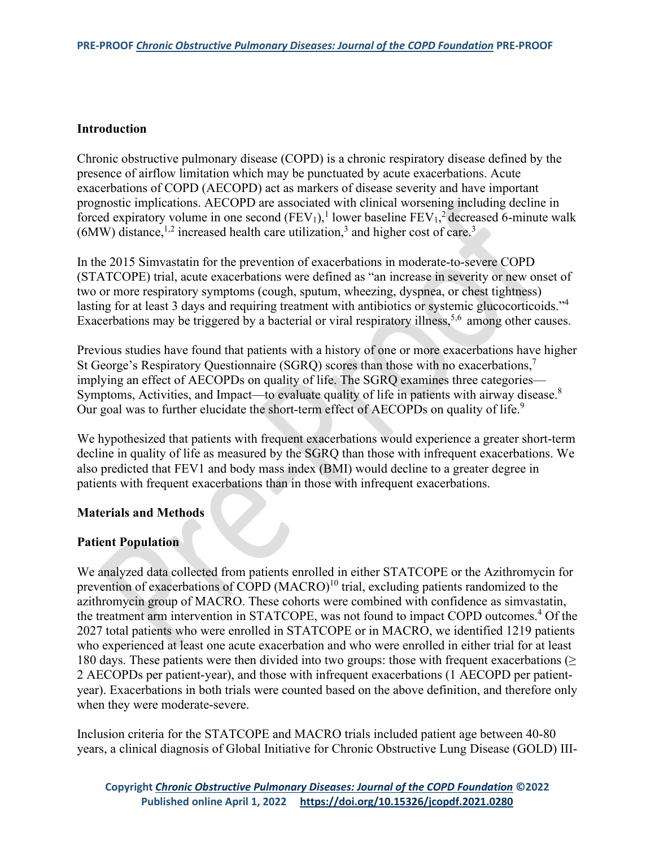### **Introduction**

Chronic obstructive pulmonary disease (COPD) is a chronic respiratory disease defined by the presence of airflow limitation which may be punctuated by acute exacerbations. Acute exacerbations of COPD (AECOPD) act as markers of disease severity and have important prognostic implications. AECOPD are associated with clinical worsening including decline in forced expiratory volume in one second  $(FEV_1)^1$  lower baseline  $FEV_1^2$  decreased 6-minute walk  $(6MW)$  distance,<sup>1,2</sup> increased health care utilization,<sup>3</sup> and higher cost of care.<sup>3</sup>

In the 2015 Simvastatin for the prevention of exacerbations in moderate-to-severe COPD (STATCOPE) trial, acute exacerbations were defined as "an increase in severity or new onset of two or more respiratory symptoms (cough, sputum, wheezing, dyspnea, or chest tightness) lasting for at least 3 days and requiring treatment with antibiotics or systemic glucocorticoids."<sup>4</sup> Exacerbations may be triggered by a bacterial or viral respiratory illness,<sup>5,6</sup> among other causes.

Previous studies have found that patients with a history of one or more exacerbations have higher St George's Respiratory Questionnaire (SGRQ) scores than those with no exacerbations,<sup>7</sup> implying an effect of AECOPDs on quality of life. The SGRQ examines three categories— Symptoms, Activities, and Impact—to evaluate quality of life in patients with airway disease.<sup>8</sup> Our goal was to further elucidate the short-term effect of AECOPDs on quality of life.<sup>9</sup>

We hypothesized that patients with frequent exacerbations would experience a greater short-term decline in quality of life as measured by the SGRQ than those with infrequent exacerbations. We also predicted that FEV1 and body mass index (BMI) would decline to a greater degree in patients with frequent exacerbations than in those with infrequent exacerbations.

#### **Materials and Methods**

#### **Patient Population**

We analyzed data collected from patients enrolled in either STATCOPE or the Azithromycin for prevention of exacerbations of COPD  $(MACRO)^{10}$  trial, excluding patients randomized to the azithromycin group of MACRO. These cohorts were combined with confidence as simvastatin, the treatment arm intervention in STATCOPE, was not found to impact COPD outcomes.<sup>4</sup> Of the 2027 total patients who were enrolled in STATCOPE or in MACRO, we identified 1219 patients who experienced at least one acute exacerbation and who were enrolled in either trial for at least 180 days. These patients were then divided into two groups: those with frequent exacerbations ( $\geq$ 2 AECOPDs per patient-year), and those with infrequent exacerbations (1 AECOPD per patientyear). Exacerbations in both trials were counted based on the above definition, and therefore only when they were moderate-severe.

Inclusion criteria for the STATCOPE and MACRO trials included patient age between 40-80 years, a clinical diagnosis of Global Initiative for Chronic Obstructive Lung Disease (GOLD) III-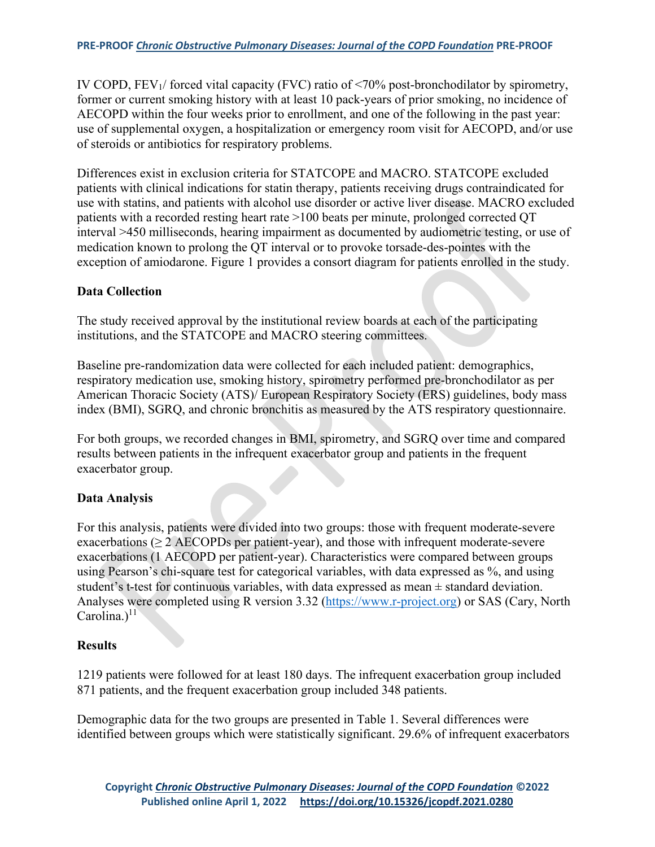IV COPD, FEV1/ forced vital capacity (FVC) ratio of <70% post-bronchodilator by spirometry, former or current smoking history with at least 10 pack-years of prior smoking, no incidence of AECOPD within the four weeks prior to enrollment, and one of the following in the past year: use of supplemental oxygen, a hospitalization or emergency room visit for AECOPD, and/or use of steroids or antibiotics for respiratory problems.

Differences exist in exclusion criteria for STATCOPE and MACRO. STATCOPE excluded patients with clinical indications for statin therapy, patients receiving drugs contraindicated for use with statins, and patients with alcohol use disorder or active liver disease. MACRO excluded patients with a recorded resting heart rate >100 beats per minute, prolonged corrected QT interval >450 milliseconds, hearing impairment as documented by audiometric testing, or use of medication known to prolong the QT interval or to provoke torsade-des-pointes with the exception of amiodarone. Figure 1 provides a consort diagram for patients enrolled in the study.

# **Data Collection**

The study received approval by the institutional review boards at each of the participating institutions, and the STATCOPE and MACRO steering committees.

Baseline pre-randomization data were collected for each included patient: demographics, respiratory medication use, smoking history, spirometry performed pre-bronchodilator as per American Thoracic Society (ATS)/ European Respiratory Society (ERS) guidelines, body mass index (BMI), SGRQ, and chronic bronchitis as measured by the ATS respiratory questionnaire.

For both groups, we recorded changes in BMI, spirometry, and SGRQ over time and compared results between patients in the infrequent exacerbator group and patients in the frequent exacerbator group.

# **Data Analysis**

For this analysis, patients were divided into two groups: those with frequent moderate-severe exacerbations ( $\geq$  2 AECOPDs per patient-year), and those with infrequent moderate-severe exacerbations (1 AECOPD per patient-year). Characteristics were compared between groups using Pearson's chi-square test for categorical variables, with data expressed as %, and using student's t-test for continuous variables, with data expressed as mean ± standard deviation. Analyses were completed using R version 3.32 [\(https://www.r-project.org\)](https://www.r-project.org/) or SAS (Cary, North  $Carolina.)$ <sup>11</sup>

# **Results**

1219 patients were followed for at least 180 days. The infrequent exacerbation group included 871 patients, and the frequent exacerbation group included 348 patients.

Demographic data for the two groups are presented in Table 1. Several differences were identified between groups which were statistically significant. 29.6% of infrequent exacerbators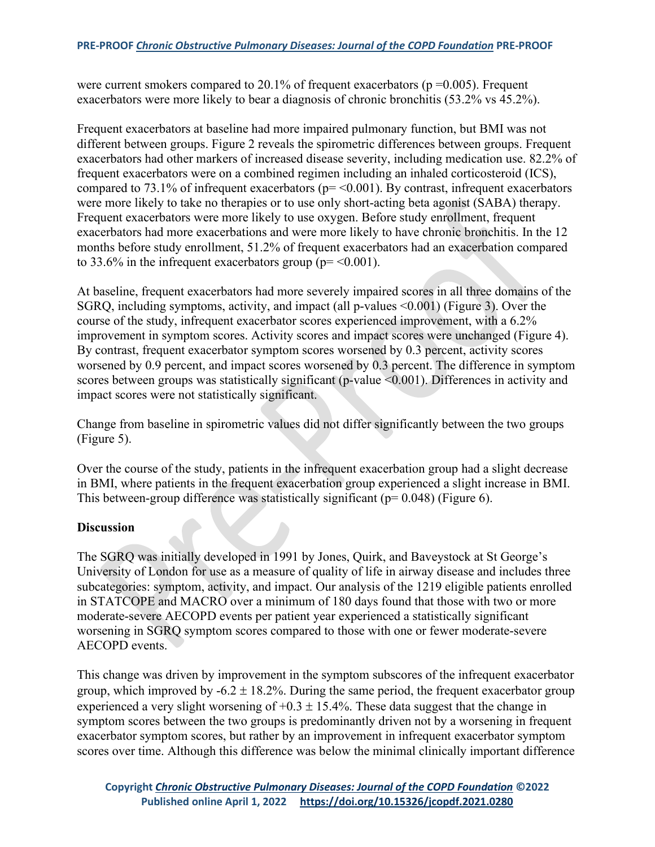were current smokers compared to 20.1% of frequent exacerbators ( $p = 0.005$ ). Frequent exacerbators were more likely to bear a diagnosis of chronic bronchitis (53.2% vs 45.2%).

Frequent exacerbators at baseline had more impaired pulmonary function, but BMI was not different between groups. Figure 2 reveals the spirometric differences between groups. Frequent exacerbators had other markers of increased disease severity, including medication use. 82.2% of frequent exacerbators were on a combined regimen including an inhaled corticosteroid (ICS), compared to 73.1% of infrequent exacerbators ( $p = 0.001$ ). By contrast, infrequent exacerbators were more likely to take no therapies or to use only short-acting beta agonist (SABA) therapy. Frequent exacerbators were more likely to use oxygen. Before study enrollment, frequent exacerbators had more exacerbations and were more likely to have chronic bronchitis. In the 12 months before study enrollment, 51.2% of frequent exacerbators had an exacerbation compared to 33.6% in the infrequent exacerbators group ( $p = < 0.001$ ).

At baseline, frequent exacerbators had more severely impaired scores in all three domains of the SGRQ, including symptoms, activity, and impact (all p-values <0.001) (Figure 3). Over the course of the study, infrequent exacerbator scores experienced improvement, with a 6.2% improvement in symptom scores. Activity scores and impact scores were unchanged (Figure 4). By contrast, frequent exacerbator symptom scores worsened by 0.3 percent, activity scores worsened by 0.9 percent, and impact scores worsened by 0.3 percent. The difference in symptom scores between groups was statistically significant (p-value <0.001). Differences in activity and impact scores were not statistically significant.

Change from baseline in spirometric values did not differ significantly between the two groups (Figure 5).

Over the course of the study, patients in the infrequent exacerbation group had a slight decrease in BMI, where patients in the frequent exacerbation group experienced a slight increase in BMI. This between-group difference was statistically significant ( $p= 0.048$ ) (Figure 6).

# **Discussion**

The SGRQ was initially developed in 1991 by Jones, Quirk, and Baveystock at St George's University of London for use as a measure of quality of life in airway disease and includes three subcategories: symptom, activity, and impact. Our analysis of the 1219 eligible patients enrolled in STATCOPE and MACRO over a minimum of 180 days found that those with two or more moderate-severe AECOPD events per patient year experienced a statistically significant worsening in SGRQ symptom scores compared to those with one or fewer moderate-severe AECOPD events.

This change was driven by improvement in the symptom subscores of the infrequent exacerbator group, which improved by  $-6.2 \pm 18.2$ %. During the same period, the frequent exacerbator group experienced a very slight worsening of  $+0.3 \pm 15.4$ %. These data suggest that the change in symptom scores between the two groups is predominantly driven not by a worsening in frequent exacerbator symptom scores, but rather by an improvement in infrequent exacerbator symptom scores over time. Although this difference was below the minimal clinically important difference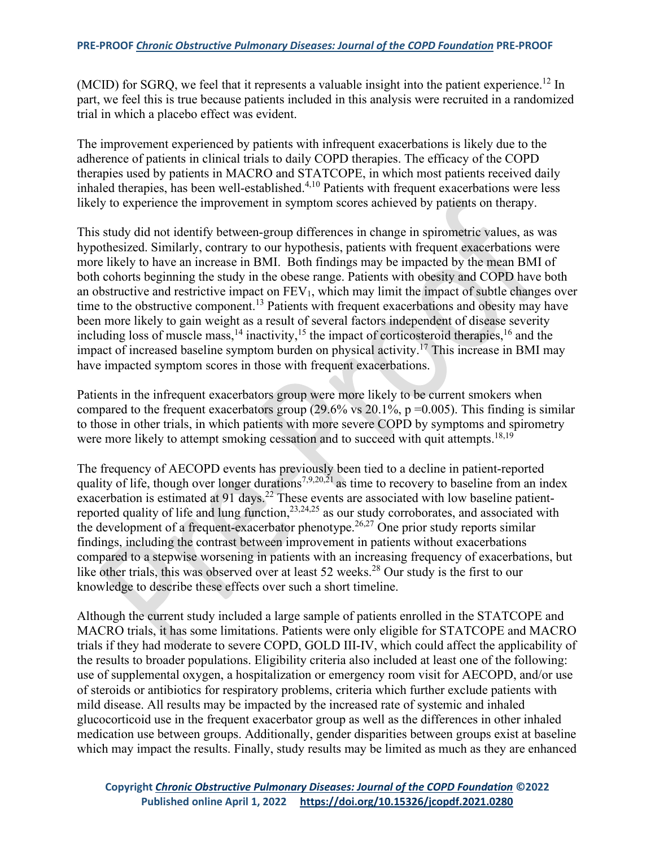(MCID) for SGRQ, we feel that it represents a valuable insight into the patient experience.<sup>12</sup> In part, we feel this is true because patients included in this analysis were recruited in a randomized trial in which a placebo effect was evident.

The improvement experienced by patients with infrequent exacerbations is likely due to the adherence of patients in clinical trials to daily COPD therapies. The efficacy of the COPD therapies used by patients in MACRO and STATCOPE, in which most patients received daily inhaled therapies, has been well-established.<sup>4,10</sup> Patients with frequent exacerbations were less likely to experience the improvement in symptom scores achieved by patients on therapy.

This study did not identify between-group differences in change in spirometric values, as was hypothesized. Similarly, contrary to our hypothesis, patients with frequent exacerbations were more likely to have an increase in BMI. Both findings may be impacted by the mean BMI of both cohorts beginning the study in the obese range. Patients with obesity and COPD have both an obstructive and restrictive impact on  $FEV<sub>1</sub>$ , which may limit the impact of subtle changes over time to the obstructive component.<sup>13</sup> Patients with frequent exacerbations and obesity may have been more likely to gain weight as a result of several factors independent of disease severity including loss of muscle mass,  $^{14}$  inactivity,  $^{15}$  the impact of corticosteroid therapies,  $^{16}$  and the impact of increased baseline symptom burden on physical activity.17 This increase in BMI may have impacted symptom scores in those with frequent exacerbations.

Patients in the infrequent exacerbators group were more likely to be current smokers when compared to the frequent exacerbators group (29.6% vs 20.1%,  $p = 0.005$ ). This finding is similar to those in other trials, in which patients with more severe COPD by symptoms and spirometry were more likely to attempt smoking cessation and to succeed with quit attempts.<sup>18,19</sup>

The frequency of AECOPD events has previously been tied to a decline in patient-reported quality of life, though over longer durations<sup>7,9,20,21</sup> as time to recovery to baseline from an index exacerbation is estimated at 91 days.<sup>22</sup> These events are associated with low baseline patientreported quality of life and lung function,  $2^{3,24,25}$  as our study corroborates, and associated with the development of a frequent-exacerbator phenotype.<sup>26,27</sup> One prior study reports similar findings, including the contrast between improvement in patients without exacerbations compared to a stepwise worsening in patients with an increasing frequency of exacerbations, but like other trials, this was observed over at least 52 weeks.<sup>28</sup> Our study is the first to our knowledge to describe these effects over such a short timeline.

Although the current study included a large sample of patients enrolled in the STATCOPE and MACRO trials, it has some limitations. Patients were only eligible for STATCOPE and MACRO trials if they had moderate to severe COPD, GOLD III-IV, which could affect the applicability of the results to broader populations. Eligibility criteria also included at least one of the following: use of supplemental oxygen, a hospitalization or emergency room visit for AECOPD, and/or use of steroids or antibiotics for respiratory problems, criteria which further exclude patients with mild disease. All results may be impacted by the increased rate of systemic and inhaled glucocorticoid use in the frequent exacerbator group as well as the differences in other inhaled medication use between groups. Additionally, gender disparities between groups exist at baseline which may impact the results. Finally, study results may be limited as much as they are enhanced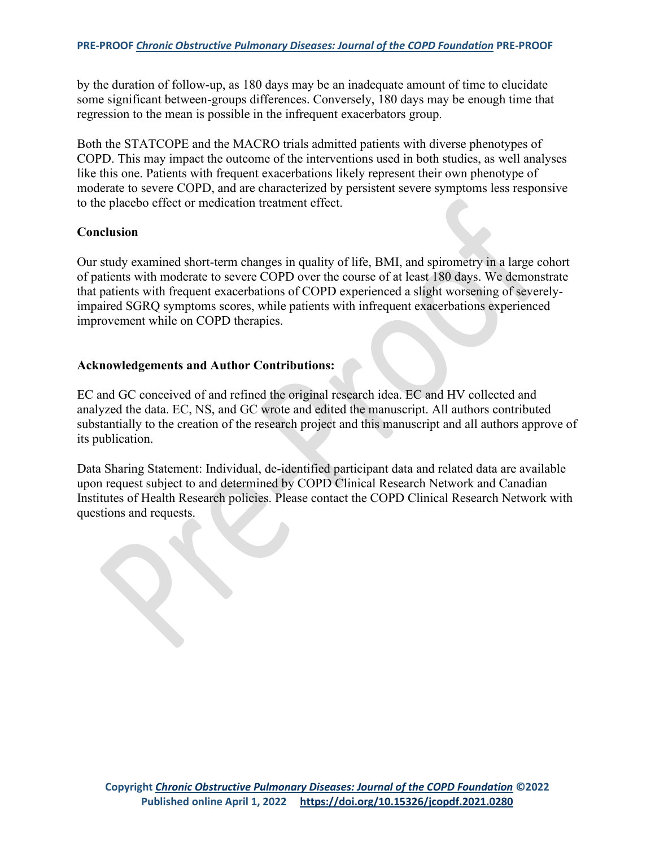by the duration of follow-up, as 180 days may be an inadequate amount of time to elucidate some significant between-groups differences. Conversely, 180 days may be enough time that regression to the mean is possible in the infrequent exacerbators group.

Both the STATCOPE and the MACRO trials admitted patients with diverse phenotypes of COPD. This may impact the outcome of the interventions used in both studies, as well analyses like this one. Patients with frequent exacerbations likely represent their own phenotype of moderate to severe COPD, and are characterized by persistent severe symptoms less responsive to the placebo effect or medication treatment effect.

### **Conclusion**

Our study examined short-term changes in quality of life, BMI, and spirometry in a large cohort of patients with moderate to severe COPD over the course of at least 180 days. We demonstrate that patients with frequent exacerbations of COPD experienced a slight worsening of severelyimpaired SGRQ symptoms scores, while patients with infrequent exacerbations experienced improvement while on COPD therapies.

### **Acknowledgements and Author Contributions:**

EC and GC conceived of and refined the original research idea. EC and HV collected and analyzed the data. EC, NS, and GC wrote and edited the manuscript. All authors contributed substantially to the creation of the research project and this manuscript and all authors approve of its publication.

Data Sharing Statement: Individual, de-identified participant data and related data are available upon request subject to and determined by COPD Clinical Research Network and Canadian Institutes of Health Research policies. Please contact the COPD Clinical Research Network with questions and requests.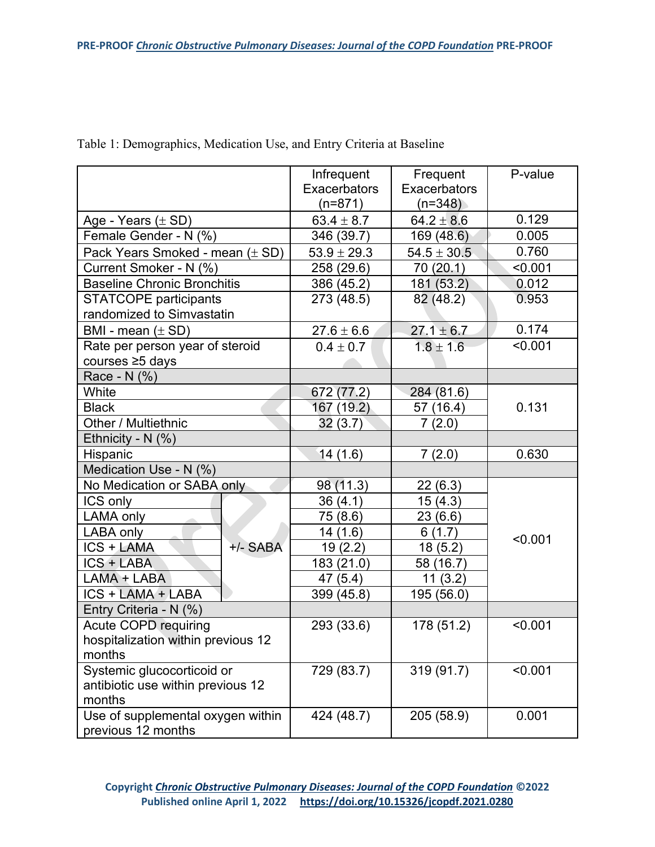|                                     | Infrequent<br><b>Exacerbators</b><br>$(n=871)$ | Frequent<br><b>Exacerbators</b><br>$(n=348)$ | P-value |
|-------------------------------------|------------------------------------------------|----------------------------------------------|---------|
| Age - Years $(\pm SD)$              | $63.4 \pm 8.7$                                 | $64.2 \pm 8.6$                               | 0.129   |
| Female Gender - N (%)               | 346 (39.7)                                     | 169 (48.6)                                   | 0.005   |
| Pack Years Smoked - mean $(\pm SD)$ | $53.9 \pm 29.3$                                | $54.5 \pm 30.5$                              | 0.760   |
| Current Smoker - N (%)              | 258 (29.6)                                     | 70 (20.1)                                    | < 0.001 |
| <b>Baseline Chronic Bronchitis</b>  | 386 (45.2)                                     | 181 (53.2)                                   | 0.012   |
| <b>STATCOPE participants</b>        | 273 (48.5)                                     | 82 (48.2)                                    | 0.953   |
| randomized to Simvastatin           |                                                |                                              |         |
| BMI - mean $(\pm SD)$               | $27.6 \pm 6.6$                                 | $27.1 \pm 6.7$                               | 0.174   |
| Rate per person year of steroid     | $0.4 \pm 0.7$                                  | $1.8 \pm 1.6$                                | < 0.001 |
| courses ≥5 days                     |                                                |                                              |         |
| Race - N (%)                        |                                                |                                              |         |
| White                               | 672 (77.2)                                     | 284 (81.6)                                   |         |
| <b>Black</b>                        | 167 (19.2)                                     | 57 (16.4)                                    | 0.131   |
| Other / Multiethnic                 | 32 (3.7)                                       | 7(2.0)                                       |         |
| Ethnicity - $N$ (%)                 |                                                |                                              |         |
| Hispanic                            | 14(1.6)                                        | 7(2.0)                                       | 0.630   |
| Medication Use - N (%)              |                                                |                                              |         |
| No Medication or SABA only          | 98 (11.3)                                      | 22(6.3)                                      |         |
| ICS only                            | 36(4.1)                                        | 15(4.3)                                      |         |
| LAMA only                           | 75 (8.6)                                       | 23(6.6)                                      |         |
| LABA only                           | 14(1.6)                                        | 6(1.7)                                       | < 0.001 |
| ICS + LAMA<br>+/- SABA              | 19(2.2)                                        | 18(5.2)                                      |         |
| <b>ICS + LABA</b>                   | 183 (21.0)                                     | 58 (16.7)                                    |         |
| LAMA + LABA                         | 47 (5.4)                                       | 11(3.2)                                      |         |
| ICS + LAMA + LABA                   | 399 (45.8)                                     | 195 (56.0)                                   |         |
| Entry Criteria - N (%)              |                                                |                                              |         |
| <b>Acute COPD requiring</b>         | 293 (33.6)                                     | 178 (51.2)                                   | < 0.001 |
| hospitalization within previous 12  |                                                |                                              |         |
| months                              |                                                |                                              |         |
| Systemic glucocorticoid or          | 729 (83.7)                                     | 319 (91.7)                                   | < 0.001 |
| antibiotic use within previous 12   |                                                |                                              |         |
| months                              |                                                |                                              |         |
| Use of supplemental oxygen within   | 424 (48.7)                                     | 205 (58.9)                                   | 0.001   |
| previous 12 months                  |                                                |                                              |         |

Table 1: Demographics, Medication Use, and Entry Criteria at Baseline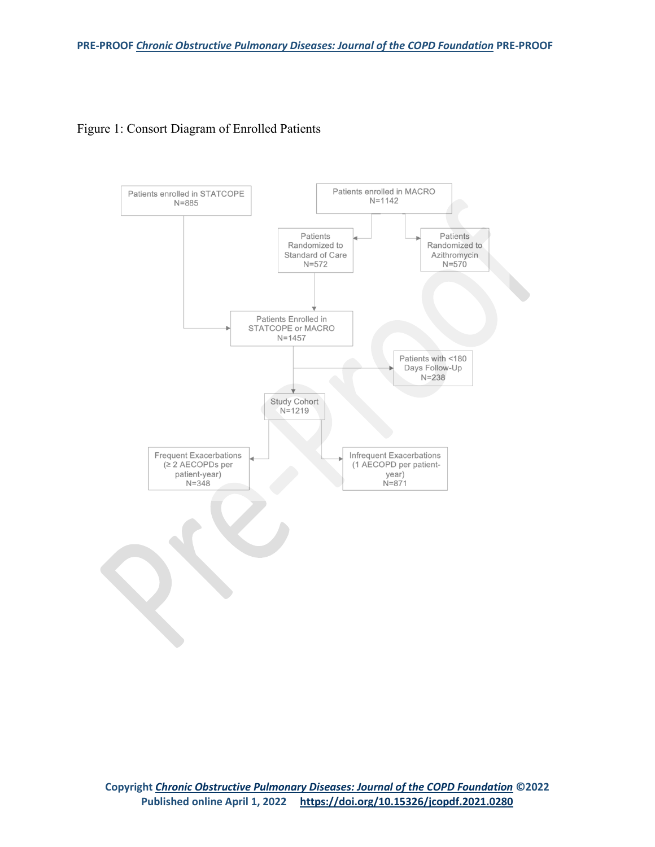

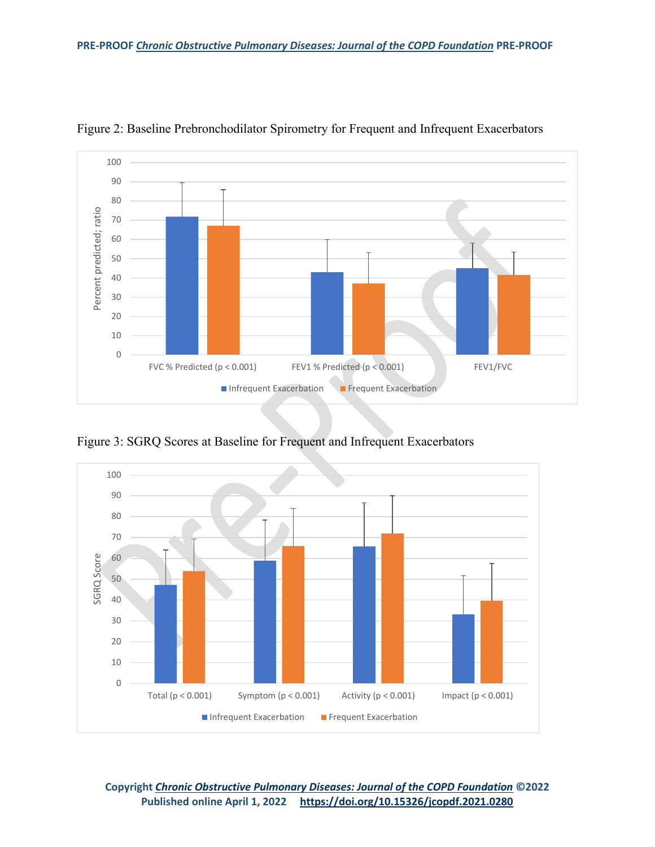

Figure 2: Baseline Prebronchodilator Spirometry for Frequent and Infrequent Exacerbators

Figure 3: SGRQ Scores at Baseline for Frequent and Infrequent Exacerbators



**Copyright** *[Chronic Obstructive Pulmonary Diseases: Journal of the COPD Foundation](https://journal.copdfoundation.org/)* **©2022 Published online April 1, 2022 <https://doi.org/10.15326/jcopdf.2021.0280>**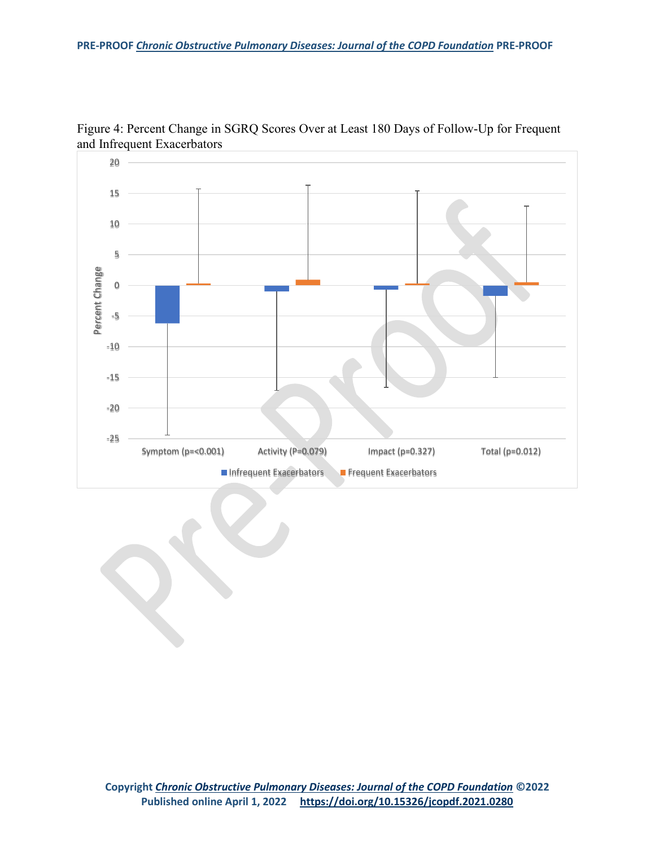

Figure 4: Percent Change in SGRQ Scores Over at Least 180 Days of Follow-Up for Frequent and Infrequent Exacerbators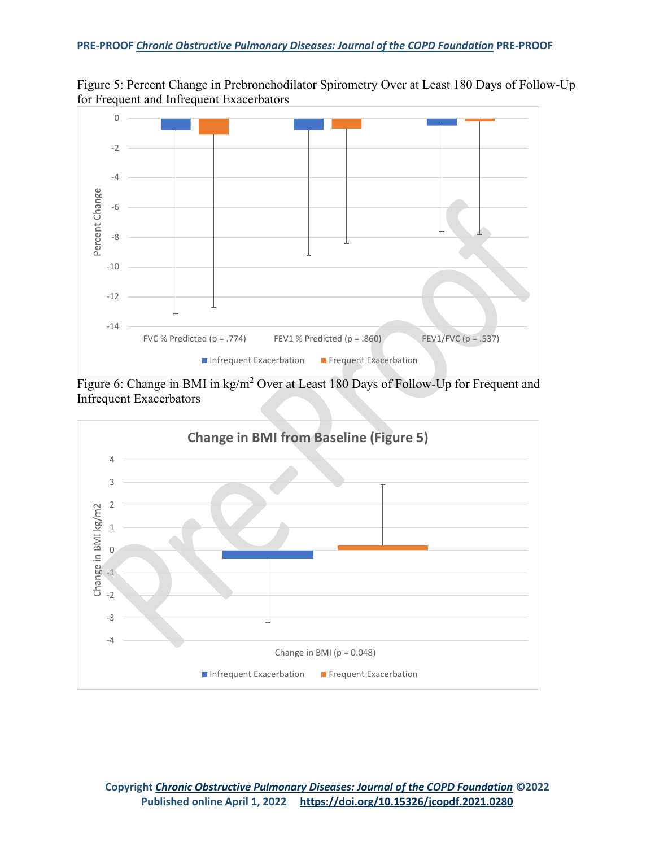



Figure 6: Change in BMI in kg/m<sup>2</sup> Over at Least 180 Days of Follow-Up for Frequent and Infrequent Exacerbators

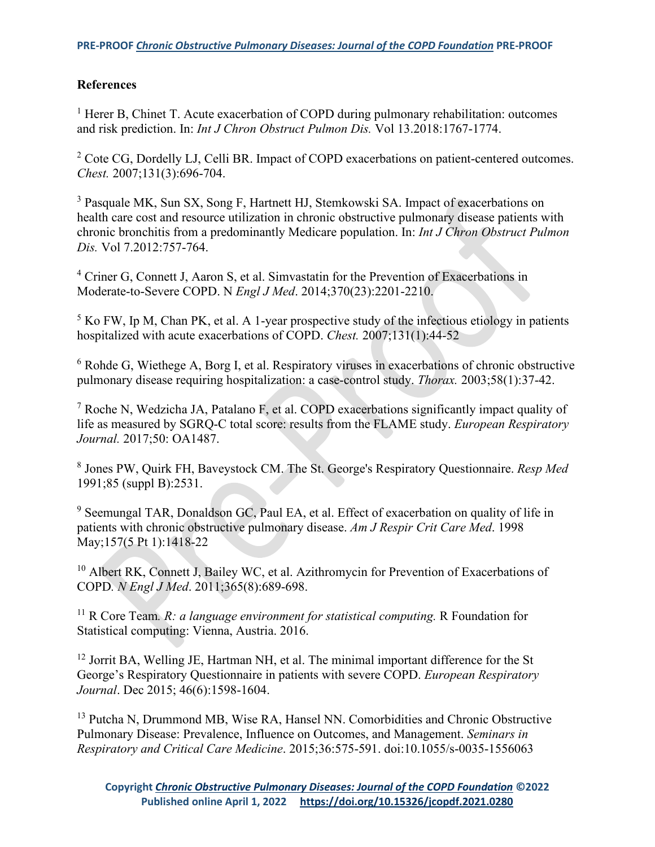# **References**

<sup>1</sup> Herer B, Chinet T. Acute exacerbation of COPD during pulmonary rehabilitation: outcomes and risk prediction. In: *Int J Chron Obstruct Pulmon Dis.* Vol 13.2018:1767-1774.

<sup>2</sup> Cote CG, Dordelly LJ, Celli BR. Impact of COPD exacerbations on patient-centered outcomes. *Chest.* 2007;131(3):696-704.

<sup>3</sup> Pasquale MK, Sun SX, Song F, Hartnett HJ, Stemkowski SA. Impact of exacerbations on health care cost and resource utilization in chronic obstructive pulmonary disease patients with chronic bronchitis from a predominantly Medicare population. In: *Int J Chron Obstruct Pulmon Dis.* Vol 7.2012:757-764.

<sup>4</sup> Criner G, Connett J, Aaron S, et al. Simvastatin for the Prevention of Exacerbations in Moderate-to-Severe COPD. N *Engl J Med*. 2014;370(23):2201-2210.

 $<sup>5</sup>$  Ko FW, Ip M, Chan PK, et al. A 1-year prospective study of the infectious etiology in patients</sup> hospitalized with acute exacerbations of COPD. *Chest.* 2007;131(1):44-52

<sup>6</sup> Rohde G, Wiethege A, Borg I, et al. Respiratory viruses in exacerbations of chronic obstructive pulmonary disease requiring hospitalization: a case-control study. *Thorax.* 2003;58(1):37-42.

<sup>7</sup> Roche N, Wedzicha JA, Patalano F, et al. COPD exacerbations significantly impact quality of life as measured by SGRQ-C total score: results from the FLAME study. *European Respiratory Journal.* 2017;50: OA1487.

<sup>8</sup> Jones PW, Quirk FH, Baveystock CM. The St. George's Respiratory Questionnaire. *Resp Med* 1991;85 (suppl B):2531.

<sup>9</sup> Seemungal TAR, Donaldson GC, Paul EA, et al. Effect of exacerbation on quality of life in patients with chronic obstructive pulmonary disease. *Am J Respir Crit Care Med*. 1998 May;157(5 Pt 1):1418-22

<sup>10</sup> Albert RK, Connett J, Bailey WC, et al. Azithromycin for Prevention of Exacerbations of COPD*. N Engl J Med*. 2011;365(8):689-698.

<sup>11</sup> R Core Team. *R: a language environment for statistical computing*. R Foundation for Statistical computing: Vienna, Austria. 2016.

<sup>12</sup> Jorrit BA, Welling JE, Hartman NH, et al. The minimal important difference for the St George's Respiratory Questionnaire in patients with severe COPD. *European Respiratory Journal*. Dec 2015; 46(6):1598-1604.

<sup>13</sup> Putcha N, Drummond MB, Wise RA, Hansel NN. Comorbidities and Chronic Obstructive Pulmonary Disease: Prevalence, Influence on Outcomes, and Management. *Seminars in Respiratory and Critical Care Medicine*. 2015;36:575-591. doi:10.1055/s-0035-1556063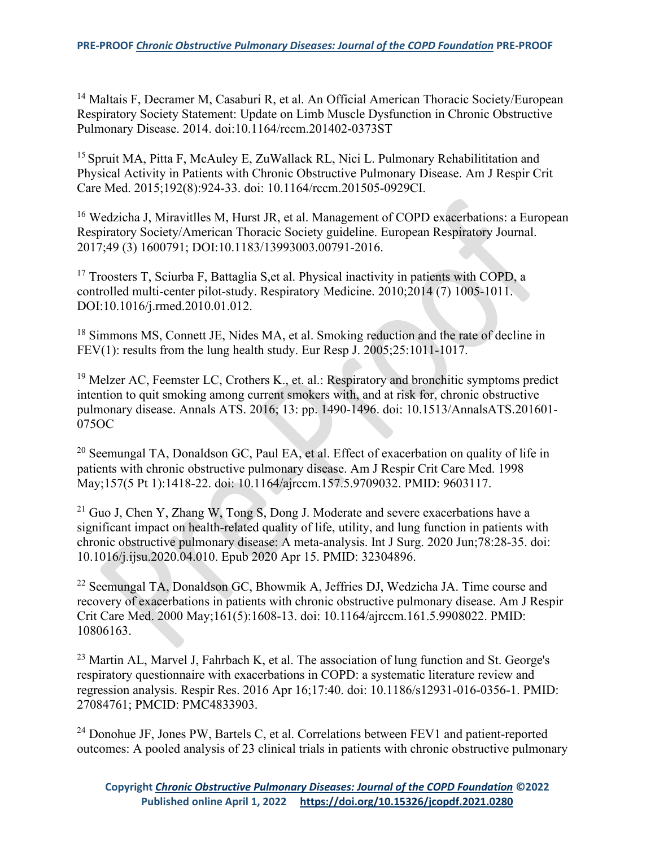<sup>14</sup> Maltais F, Decramer M, Casaburi R, et al. An Official American Thoracic Society/European Respiratory Society Statement: Update on Limb Muscle Dysfunction in Chronic Obstructive Pulmonary Disease. 2014. doi:10.1164/rccm.201402-0373ST

<sup>15</sup> Spruit MA, Pitta F, McAuley E, ZuWallack RL, Nici L. Pulmonary Rehabilititation and Physical Activity in Patients with Chronic Obstructive Pulmonary Disease. Am J Respir Crit Care Med. 2015;192(8):924-33. doi: 10.1164/rccm.201505-0929CI.

<sup>16</sup> Wedzicha J, Miravitlles M, Hurst JR, et al. Management of COPD exacerbations: a European Respiratory Society/American Thoracic Society guideline. European Respiratory Journal. 2017;49 (3) 1600791; DOI:10.1183/13993003.00791-2016.

<sup>17</sup> Troosters T, Sciurba F, Battaglia S, et al. Physical inactivity in patients with COPD, a controlled multi-center pilot-study. Respiratory Medicine. 2010;2014 (7) 1005-1011. DOI:10.1016/j.rmed.2010.01.012.

<sup>18</sup> Simmons MS, Connett JE, Nides MA, et al. Smoking reduction and the rate of decline in FEV(1): results from the lung health study. Eur Resp J. 2005;25:1011-1017.

<sup>19</sup> Melzer AC, Feemster LC, Crothers K., et. al.: Respiratory and bronchitic symptoms predict intention to quit smoking among current smokers with, and at risk for, chronic obstructive pulmonary disease. Annals ATS. 2016; 13: pp. 1490-1496. doi: 10.1513/AnnalsATS.201601- 075OC

<sup>20</sup> Seemungal TA, Donaldson GC, Paul EA, et al. Effect of exacerbation on quality of life in patients with chronic obstructive pulmonary disease. Am J Respir Crit Care Med. 1998 May;157(5 Pt 1):1418-22. doi: 10.1164/ajrccm.157.5.9709032. PMID: 9603117.

 $21$  Guo J, Chen Y, Zhang W, Tong S, Dong J. Moderate and severe exacerbations have a significant impact on health-related quality of life, utility, and lung function in patients with chronic obstructive pulmonary disease: A meta-analysis. Int J Surg. 2020 Jun;78:28-35. doi: 10.1016/j.ijsu.2020.04.010. Epub 2020 Apr 15. PMID: 32304896.

<sup>22</sup> Seemungal TA, Donaldson GC, Bhowmik A, Jeffries DJ, Wedzicha JA. Time course and recovery of exacerbations in patients with chronic obstructive pulmonary disease. Am J Respir Crit Care Med. 2000 May;161(5):1608-13. doi: 10.1164/ajrccm.161.5.9908022. PMID: 10806163.

 $23$  Martin AL, Marvel J, Fahrbach K, et al. The association of lung function and St. George's respiratory questionnaire with exacerbations in COPD: a systematic literature review and regression analysis. Respir Res. 2016 Apr 16;17:40. doi: 10.1186/s12931-016-0356-1. PMID: 27084761; PMCID: PMC4833903.

<sup>24</sup> Donohue JF, Jones PW, Bartels C, et al. Correlations between FEV1 and patient-reported outcomes: A pooled analysis of 23 clinical trials in patients with chronic obstructive pulmonary